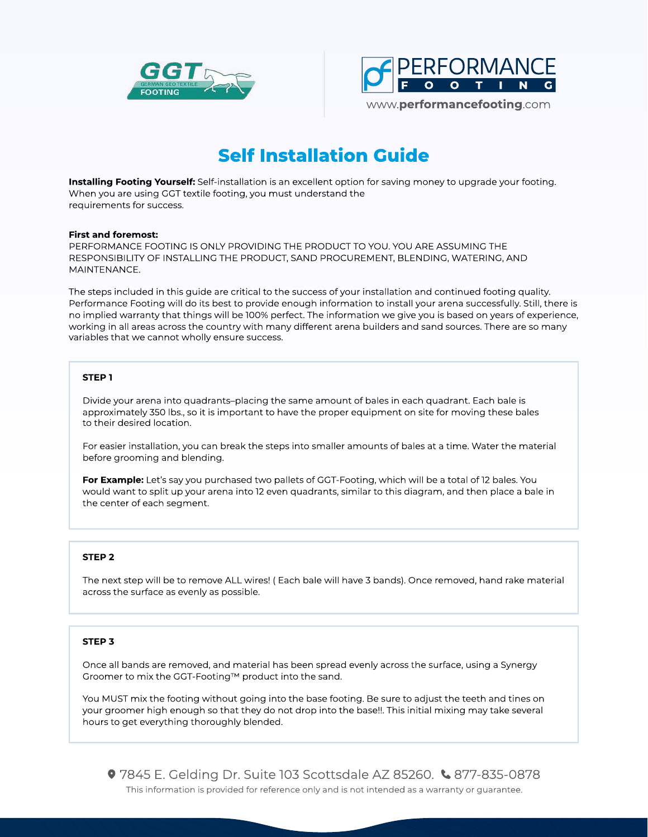



# Self Installation Guide

Installing Footing Yourself: Self-installation is an excellent option for saving money to upgrade your footing. When you are using GGT textile footing, you must understand the requirements for success.

#### First and foremost:

PERFORMANCE FOOTING IS ONLY PROVIDING THE PRODUCT TO YOU. YOU ARE ASSUMING THE RESPONSIBILITY OF INSTALLING THE PRODUCT, SAND PROCUREMENT, BLENDING, WATERING, AND MAINTENANCE.

The steps included in this guide are critical to the success of your installation and continued footing quality. Performance Footing will do its best to provide enough information to install your arena successfully. Still, there is no implied warranty that things will be 100% perfect. The information we give you is based on years of experience, working in all areas across the country with many different arena builders and sand sources. There are so many variables that we cannot wholly ensure success.

## STEP 1

Divide your arena into quadrants–placing the same amount of bales in each quadrant. Each bale is approximately 350 lbs., so it is important to have the proper equipment on site for moving these bales to their desired location.

For easier installation, you can break the steps into smaller amounts of bales at a time. Water the material before grooming and blending.

For Example: Let's say you purchased two pallets of GGT-Footing, which will be a total of 12 bales. You would want to split up your arena into 12 even quadrants, similar to this diagram, and then place a bale in the center of each segment.

## STEP 2

The next step will be to remove ALL wires! ( Each bale will have 3 bands). Once removed, hand rake material across the surface as evenly as possible.

## STEP 3

Once all bands are removed, and material has been spread evenly across the surface, using a Synergy Groomer to mix the GGT-Footing™ product into the sand.

You MUST mix the footing without going into the base footing. Be sure to adjust the teeth and tines on your groomer high enough so that they do not drop into the base!!. This initial mixing may take several hours to get everything thoroughly blended.

This information is provided for reference only and is not intended as a warranty or guarantee.  $9$  7845 E. Gelding Dr. Suite 103 Scottsdale AZ 85260.  $\&$  877-835-0878